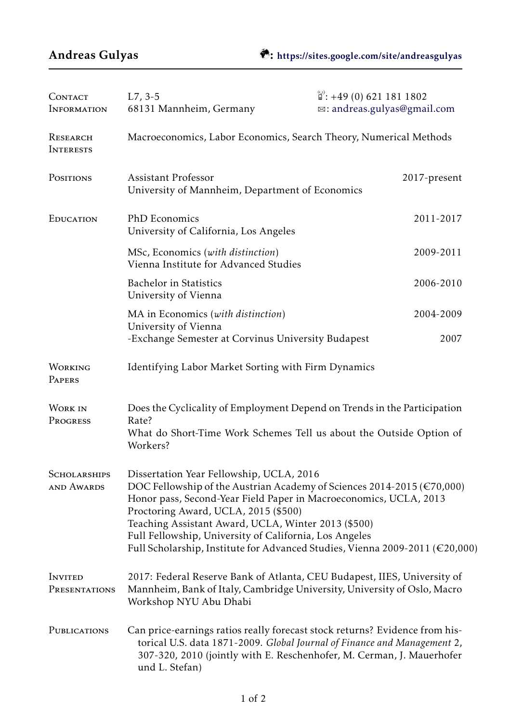| CONTACT<br><b>INFORMATION</b>            | $L7, 3-5$<br>68131 Mannheim, Germany                                                                                                                                                                                                                                                                                                                                                                                                        | $\mathbb{S}$ : +49 (0) 621 181 1802<br>⊠: andreas.gulyas@gmail.com |  |
|------------------------------------------|---------------------------------------------------------------------------------------------------------------------------------------------------------------------------------------------------------------------------------------------------------------------------------------------------------------------------------------------------------------------------------------------------------------------------------------------|--------------------------------------------------------------------|--|
| RESEARCH<br><b>INTERESTS</b>             | Macroeconomics, Labor Economics, Search Theory, Numerical Methods                                                                                                                                                                                                                                                                                                                                                                           |                                                                    |  |
| POSITIONS                                | <b>Assistant Professor</b><br>University of Mannheim, Department of Economics                                                                                                                                                                                                                                                                                                                                                               | 2017-present                                                       |  |
| EDUCATION                                | PhD Economics<br>University of California, Los Angeles                                                                                                                                                                                                                                                                                                                                                                                      | 2011-2017                                                          |  |
|                                          | MSc, Economics (with distinction)<br>Vienna Institute for Advanced Studies                                                                                                                                                                                                                                                                                                                                                                  | 2009-2011                                                          |  |
|                                          | <b>Bachelor</b> in Statistics<br>University of Vienna                                                                                                                                                                                                                                                                                                                                                                                       | 2006-2010                                                          |  |
|                                          | MA in Economics (with distinction)                                                                                                                                                                                                                                                                                                                                                                                                          | 2004-2009                                                          |  |
|                                          | University of Vienna<br>-Exchange Semester at Corvinus University Budapest                                                                                                                                                                                                                                                                                                                                                                  | 2007                                                               |  |
| <b>WORKING</b><br>PAPERS                 | Identifying Labor Market Sorting with Firm Dynamics                                                                                                                                                                                                                                                                                                                                                                                         |                                                                    |  |
| <b>WORK IN</b><br>PROGRESS               | Does the Cyclicality of Employment Depend on Trends in the Participation<br>Rate?<br>What do Short-Time Work Schemes Tell us about the Outside Option of<br>Workers?                                                                                                                                                                                                                                                                        |                                                                    |  |
| <b>SCHOLARSHIPS</b><br><b>AND AWARDS</b> | Dissertation Year Fellowship, UCLA, 2016<br>DOC Fellowship of the Austrian Academy of Sciences 2014-2015 ( $\epsilon$ 70,000)<br>Honor pass, Second-Year Field Paper in Macroeconomics, UCLA, 2013<br>Proctoring Award, UCLA, 2015 (\$500)<br>Teaching Assistant Award, UCLA, Winter 2013 (\$500)<br>Full Fellowship, University of California, Los Angeles<br>Full Scholarship, Institute for Advanced Studies, Vienna 2009-2011 (€20,000) |                                                                    |  |
| <b>INVITED</b><br>PRESENTATIONS          | 2017: Federal Reserve Bank of Atlanta, CEU Budapest, IIES, University of<br>Mannheim, Bank of Italy, Cambridge University, University of Oslo, Macro<br>Workshop NYU Abu Dhabi                                                                                                                                                                                                                                                              |                                                                    |  |
| PUBLICATIONS                             | Can price-earnings ratios really forecast stock returns? Evidence from his-<br>torical U.S. data 1871-2009. Global Journal of Finance and Management 2,<br>307-320, 2010 (jointly with E. Reschenhofer, M. Cerman, J. Mauerhofer<br>und L. Stefan)                                                                                                                                                                                          |                                                                    |  |